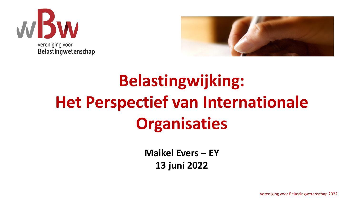



## **Belastingwijking: Het Perspectief van Internationale Organisaties**

**Maikel Evers – EY 13 juni 2022**

Vereniging voor Belastingwetenschap 2022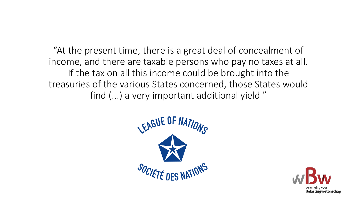"At the present time, there is a great deal of concealment of income, and there are taxable persons who pay no taxes at all. If the tax on all this income could be brought into the treasuries of the various States concerned, those States would find (...) a very important additional yield "



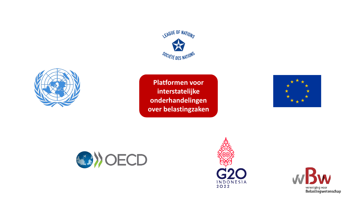



**Platformen voor interstatelijke onderhandelingen over belastingzaken**







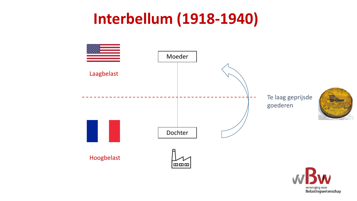#### **Interbellum (1918-1940)**



vereniging voor<br>**Belastingwetenschap**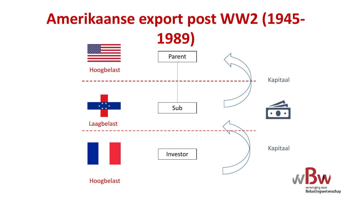### **Amerikaanse export post WW2 (1945- 1989)**



vereniging voor Belastingwetenschap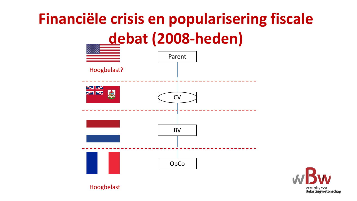# **Financiële crisis en popularisering fiscale debat (2008-heden)**